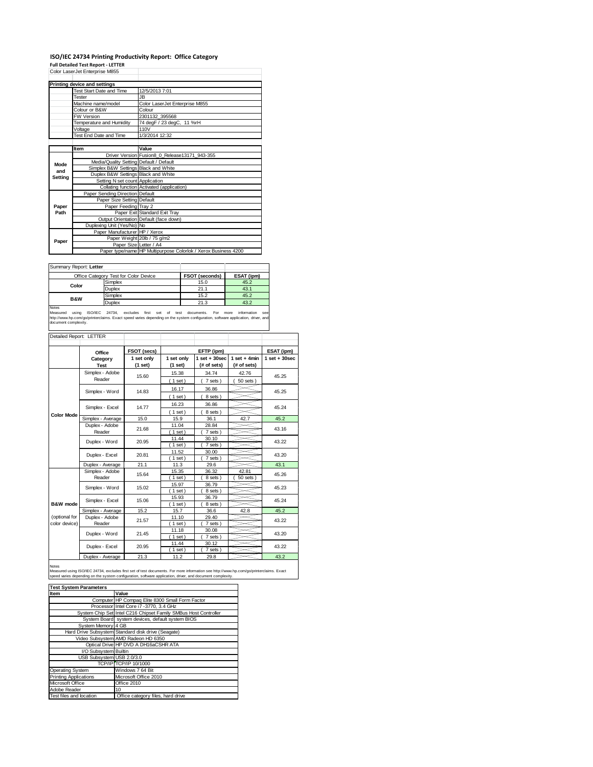## **ISO/IEC 24734 Printing Productivity Report: Office Category**

**Full Detailed Test Report ‐ LETTER** Color LaserJet Enterprise M855

|         | Color LaserJet Enterprise M855          |                                                                |  |  |  |
|---------|-----------------------------------------|----------------------------------------------------------------|--|--|--|
|         |                                         |                                                                |  |  |  |
|         | Printing device and settings            |                                                                |  |  |  |
|         | Test Start Date and Time                | 12/5/2013 7:01                                                 |  |  |  |
|         | Tester                                  | JB.                                                            |  |  |  |
|         | Machine name/model                      | Color LaserJet Enterprise M855                                 |  |  |  |
|         | Colour or B&W                           | Colour                                                         |  |  |  |
|         | <b>FW Version</b>                       | 2301132 395568                                                 |  |  |  |
|         | Temperature and Humidity                | 74 degF / 23 degC, 11 %rH                                      |  |  |  |
|         | Voltage                                 | 110V                                                           |  |  |  |
|         | Test End Date and Time                  | 1/3/2014 12:32                                                 |  |  |  |
|         |                                         |                                                                |  |  |  |
|         | Item                                    | Value                                                          |  |  |  |
|         |                                         | Driver Version Fusion8 0 Release13171 943-355                  |  |  |  |
| Mode    | Media/Quality Setting Default / Default |                                                                |  |  |  |
| and     | Simplex B&W Settings Black and White    |                                                                |  |  |  |
| Setting | Duplex B&W Settings Black and White     |                                                                |  |  |  |
|         | Setting N set count Application         |                                                                |  |  |  |
|         |                                         | Collating function Activated (application)                     |  |  |  |
|         | Paper Sending Direction Default         |                                                                |  |  |  |
|         | Paper Size Setting Default              |                                                                |  |  |  |
| Paper   | Paper Feeding Tray 2                    |                                                                |  |  |  |
| Path    |                                         | Paper Exit Standard Exit Trav                                  |  |  |  |
|         |                                         | Output Orientation Default (face down)                         |  |  |  |
|         | Duplexing Unit (Yes/No) No              |                                                                |  |  |  |
| Paper   | Paper Manufacturer HP / Xerox           |                                                                |  |  |  |
|         |                                         | Paper Weight 20lb / 75 g/m2                                    |  |  |  |
|         | Paper Size Letter / A4                  |                                                                |  |  |  |
|         |                                         | Paper type/name HP Multipurpose Colorlok / Xerox Business 4200 |  |  |  |

Summary Report: **Letter**

| <b>OUTHER Y RODOL EGRO</b> |                                       |                |            |
|----------------------------|---------------------------------------|----------------|------------|
|                            | Office Category Test for Color Device | FSOT (seconds) | ESAT (ipm) |
| Color                      | Simplex                               | 15.0           | 45.2       |
|                            | Duplex                                | 21.1           | 43.1       |
| <b>B&amp;W</b>             | Simplex                               | 15.2           | 45.2       |
|                            | <b>Duplex</b>                         | 21.3           | 43.2       |
| Notes                      |                                       |                |            |

Notes<br>Measured using ISO/IEC 24734, excludes first set of test documents. For more information see<br>http://www.hp.com/go/printerclaims.Exactspeed.varies.depending.on.the.system.configuration,software.application,driver,and<br>

| Detailed Report: LETTER        |                                   |                       |                         |                                  |                               |                   |
|--------------------------------|-----------------------------------|-----------------------|-------------------------|----------------------------------|-------------------------------|-------------------|
|                                | Office                            | FSOT (secs)           |                         | EFTP (ipm)                       |                               | ESAT (ipm)        |
|                                | Category<br><b>Test</b>           | 1 set only<br>(1 set) | 1 set only<br>$(1$ set) | $1$ set $+30$ sec<br>(# of sets) | $1$ set + 4min<br>(# of sets) | $1$ set $+30$ sec |
|                                | Simplex - Adobe<br>Reader         | 15.60                 | 15.38<br>(1 set)        | 34.74<br>7 sets)                 | 42.76<br>50 sets              | 45.25             |
|                                | Simplex - Word                    | 14.83                 | 16.17<br>$1$ set)       | 36.86<br>8 sets)                 |                               | 45.25             |
|                                | Simplex - Excel                   | 14.77                 | 16.23<br>(1 set)        | 36.86<br>8 sets)                 |                               | 45.24             |
| <b>Color Mode</b>              | Simplex - Average                 | 15.0                  | 15.9                    | 36.1                             | 42.7                          | 45.2              |
|                                | Duplex - Adobe<br>21.68<br>Reader |                       | 11.04<br>$1$ set)       | 28.84<br>7 sets)                 |                               | 43.16             |
|                                | Duplex - Word                     | 20.95                 | 11.44<br>$1$ set)       | 30.10<br>7 sets)                 |                               | 43.22             |
|                                | Duplex - Excel                    | 20.81                 | 11.52<br>$1$ set)       | 30.00<br>7 sets )                |                               | 43.20             |
|                                | Duplex - Average                  | 21.1                  | 11.3                    | 29.6                             |                               | 43.1              |
|                                | Simplex - Adobe<br>Reader         | 15.64                 | 15.35<br>$1$ set)       | 36.32<br>8 sets)                 | 42.81<br>50 sets              | 45.26             |
|                                | Simplex - Word                    | 15.02                 | 15.97<br>$1$ set)       | 36.79<br>8 sets )                |                               | 45.23             |
| B&W mode                       | Simplex - Excel                   | 15.06                 | 15.93<br>$1$ set)       | 36.79<br>8 sets)                 |                               | 45.24             |
|                                | Simplex - Average                 | 15.2                  | 15.7                    | 36.6                             | 42.8                          | 45.2              |
| (optional for<br>color device) | Duplex - Adobe<br>Reader          | 21.57                 | 11.10<br>$1$ set)       | 29.40<br>7 sets)                 |                               | 43.22             |
|                                | Duplex - Word                     | 21.45                 | 11.18<br>$1$ set)       | 30.08<br>7 sets)                 |                               | 43.20             |
|                                | Duplex - Excel                    | 20.95                 | 11.44<br>$1$ set)       | 30.12<br>7 sets)                 |                               | 43.22             |
|                                | Duplex - Average                  | 21.3                  | 11.2                    | 29.8                             |                               | 43.2              |

Notes<br>Measured using ISO/IEC 24734, excludes first set of test documents. For more information see http://www.hp.com/go/printerclaims. Exact<br>speed varies depending on the system configuration, software application, driver,

| <b>Test System Parameters</b> |                                                                 |  |  |  |
|-------------------------------|-----------------------------------------------------------------|--|--|--|
| Item                          | Value                                                           |  |  |  |
|                               | Computer HP Compaq Elite 8300 Small Form Factor                 |  |  |  |
|                               | Processor Intel Core i7 -3770, 3.4 GHz                          |  |  |  |
|                               | System Chip Set Intel C216 Chipset Family SMBus Host Controller |  |  |  |
|                               | System Board system devices, default system BIOS                |  |  |  |
| System Memory 4 GB            |                                                                 |  |  |  |
|                               | Hard Drive Subsystem Standard disk drive (Seagate)              |  |  |  |
|                               | Video Subsystem AMD Radeon HD 6350                              |  |  |  |
|                               | Optical Drive HP DVD A DH16aCSHR ATA                            |  |  |  |
| I/O Subsystem Builtin         |                                                                 |  |  |  |
| USB Subsystem USB 2.0/3.0     |                                                                 |  |  |  |
|                               | TCP/IP TCP/IP 10/1000                                           |  |  |  |
| Operating System              | Windows 7 64 Bit                                                |  |  |  |
| <b>Printing Applications</b>  | Microsoft Office 2010                                           |  |  |  |
| Microsoft Office              | Office 2010                                                     |  |  |  |
| Adobe Reader                  | 10                                                              |  |  |  |
| Test files and location       | Office category files, hard drive                               |  |  |  |